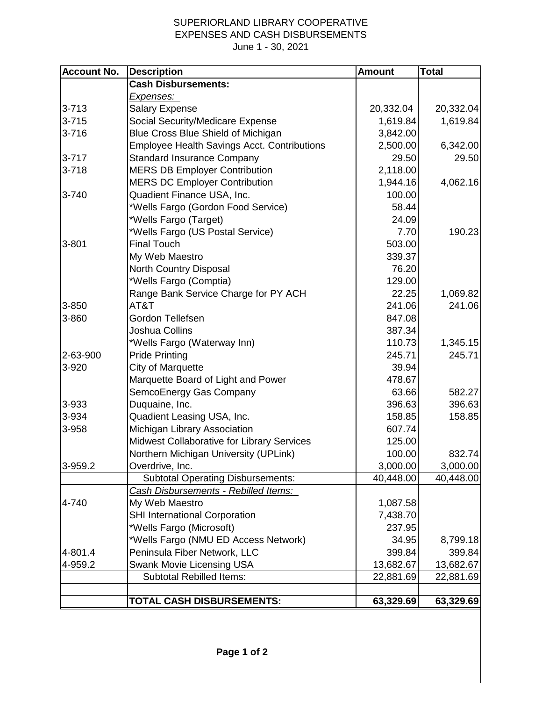## SUPERIORLAND LIBRARY COOPERATIVE EXPENSES AND CASH DISBURSEMENTS

June 1 - 30, 2021

| <b>Account No.</b> | <b>Description</b>                                 | <b>Amount</b> | <b>Total</b> |
|--------------------|----------------------------------------------------|---------------|--------------|
|                    | <b>Cash Disbursements:</b>                         |               |              |
|                    | <u>Expenses: </u>                                  |               |              |
| $3 - 713$          | <b>Salary Expense</b>                              | 20,332.04     | 20,332.04    |
| $3 - 715$          | Social Security/Medicare Expense                   | 1,619.84      | 1,619.84     |
| $3 - 716$          | Blue Cross Blue Shield of Michigan                 | 3,842.00      |              |
|                    | <b>Employee Health Savings Acct. Contributions</b> | 2,500.00      | 6,342.00     |
| $3 - 717$          | <b>Standard Insurance Company</b>                  | 29.50         | 29.50        |
| $3 - 718$          | <b>MERS DB Employer Contribution</b>               | 2,118.00      |              |
|                    | <b>MERS DC Employer Contribution</b>               | 1,944.16      | 4,062.16     |
| 3-740              | Quadient Finance USA, Inc.                         | 100.00        |              |
|                    | *Wells Fargo (Gordon Food Service)                 | 58.44         |              |
|                    | *Wells Fargo (Target)                              | 24.09         |              |
|                    | *Wells Fargo (US Postal Service)                   | 7.70          | 190.23       |
| 3-801              | <b>Final Touch</b>                                 | 503.00        |              |
|                    | My Web Maestro                                     | 339.37        |              |
|                    | North Country Disposal                             | 76.20         |              |
|                    | *Wells Fargo (Comptia)                             | 129.00        |              |
|                    | Range Bank Service Charge for PY ACH               | 22.25         | 1,069.82     |
| 3-850              | AT&T                                               | 241.06        | 241.06       |
| 3-860              | Gordon Tellefsen                                   | 847.08        |              |
|                    | Joshua Collins                                     | 387.34        |              |
|                    | *Wells Fargo (Waterway Inn)                        | 110.73        | 1,345.15     |
| 2-63-900           | <b>Pride Printing</b>                              | 245.71        | 245.71       |
| 3-920              | City of Marquette                                  | 39.94         |              |
|                    | Marquette Board of Light and Power                 | 478.67        |              |
|                    | SemcoEnergy Gas Company                            | 63.66         | 582.27       |
| 3-933              | Duquaine, Inc.                                     | 396.63        | 396.63       |
| 3-934              | Quadient Leasing USA, Inc.                         | 158.85        | 158.85       |
| 3-958              | Michigan Library Association                       | 607.74        |              |
|                    | Midwest Collaborative for Library Services         | 125.00        |              |
|                    | Northern Michigan University (UPLink)              | 100.00        | 832.74       |
| 3-959.2            | Overdrive, Inc.                                    | 3,000.00      | 3,000.00     |
|                    | <b>Subtotal Operating Disbursements:</b>           | 40,448.00     | 40,448.00    |
|                    | Cash Disbursements - Rebilled Items:               |               |              |
| 4-740              | My Web Maestro                                     | 1,087.58      |              |
|                    | <b>SHI International Corporation</b>               | 7,438.70      |              |
|                    | *Wells Fargo (Microsoft)                           | 237.95        |              |
|                    | *Wells Fargo (NMU ED Access Network)               | 34.95         | 8,799.18     |
| 4-801.4            | Peninsula Fiber Network, LLC                       | 399.84        | 399.84       |
| 4-959.2            | Swank Movie Licensing USA                          | 13,682.67     | 13,682.67    |
|                    | <b>Subtotal Rebilled Items:</b>                    | 22,881.69     | 22,881.69    |
|                    |                                                    |               |              |
|                    | <b>TOTAL CASH DISBURSEMENTS:</b>                   | 63,329.69     | 63,329.69    |